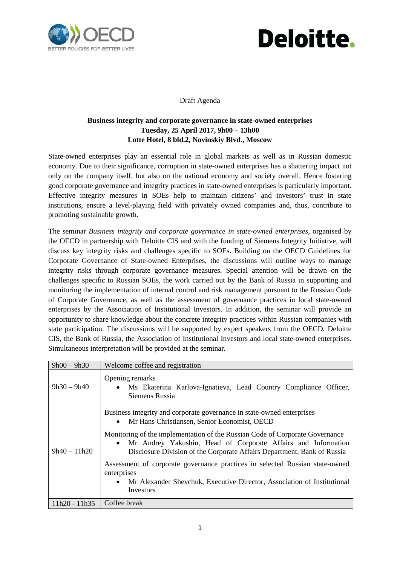



Draft Agenda

## **Business integrity and corporate governance in state-owned enterprises Tuesday, 25 April 2017, 9h00 – 13h00 Lotte Hotel, 8 bld.2, Novinskiy Blvd., Moscow**

State-owned enterprises play an essential role in global markets as well as in Russian domestic economy. Due to their significance, corruption in state-owned enterprises has a shattering impact not only on the company itself, but also on the national economy and society overall. Hence fostering good corporate governance and integrity practices in state-owned enterprises is particularly important. Effective integrity measures in SOEs help to maintain citizens' and investors' trust in state institutions, ensure a level-playing field with privately owned companies and, thus, contribute to promoting sustainable growth.

The seminar *Business integrity and corporate governance in state-owned enterprises,* organised by the OECD in partnership with Deloitte CIS and with the funding of Siemens Integrity Initiative, will discuss key integrity risks and challenges specific to SOEs. Building on the OECD Guidelines for Corporate Governance of State-owned Enterprises, the discussions will outline ways to manage integrity risks through corporate governance measures. Special attention will be drawn on the challenges specific to Russian SOEs, the work carried out by the Bank of Russia in supporting and monitoring the implementation of internal control and risk management pursuant to the Russian Code of Corporate Governance, as well as the assessment of governance practices in local state-owned enterprises by the Association of Institutional Investors. In addition, the seminar will provide an opportunity to share knowledge about the concrete integrity practices within Russian companies with state participation. The discussions will be supported by expert speakers from the OECD, Deloitte CIS, the Bank of Russia, the Association of Institutional Investors and local state-owned enterprises. Simultaneous interpretation will be provided at the seminar.

| $9h00 - 9h30$   | Welcome coffee and registration                                                                                                                                                                                                                                                                                                                                                                                                                                                                                                                          |
|-----------------|----------------------------------------------------------------------------------------------------------------------------------------------------------------------------------------------------------------------------------------------------------------------------------------------------------------------------------------------------------------------------------------------------------------------------------------------------------------------------------------------------------------------------------------------------------|
| $9h30 - 9h40$   | Opening remarks<br>· Ms Ekaterina Karlova-Ignatieva, Lead Country Compliance Officer,<br>Siemens Russia                                                                                                                                                                                                                                                                                                                                                                                                                                                  |
| $9h40 - 11h20$  | Business integrity and corporate governance in state-owned enterprises<br>Mr Hans Christiansen, Senior Economist, OECD<br>Monitoring of the implementation of the Russian Code of Corporate Governance<br>• Mr Andrey Yakushin, Head of Corporate Affairs and Information<br>Disclosure Division of the Corporate Affairs Department, Bank of Russia<br>Assessment of corporate governance practices in selected Russian state-owned<br>enterprises<br>Mr Alexander Shevchuk, Executive Director, Association of Institutional<br>$\bullet$<br>Investors |
| $11h20 - 11h35$ | Coffee break                                                                                                                                                                                                                                                                                                                                                                                                                                                                                                                                             |